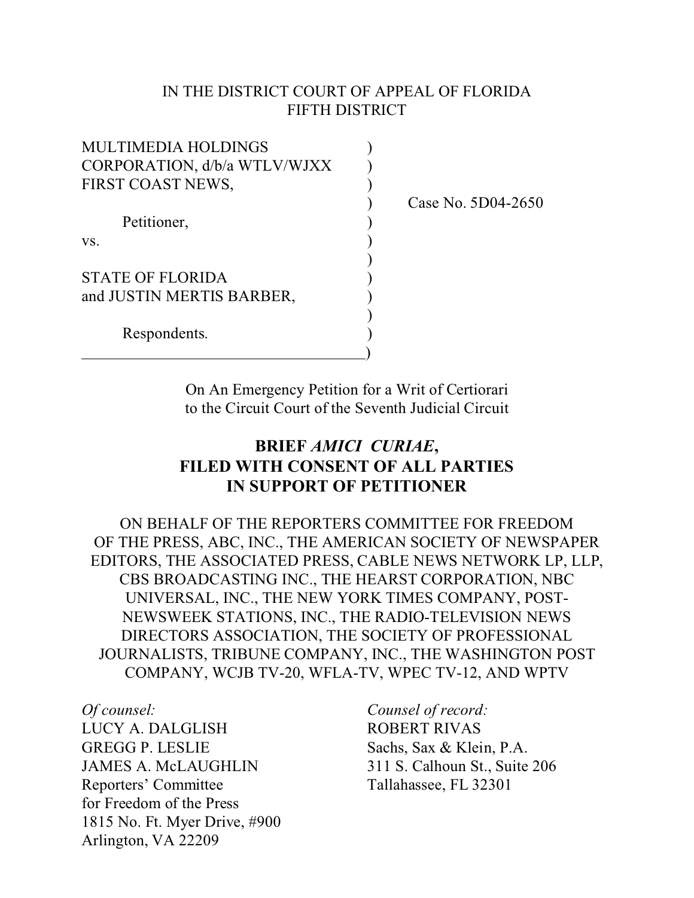### IN THE DISTRICT COURT OF APPEAL OF FLORIDA FIFTH DISTRICT

| <b>MULTIMEDIA HOLDINGS</b>   |  |  |
|------------------------------|--|--|
| CORPORATION, d/b/a WTLV/WJXX |  |  |
| FIRST COAST NEWS,            |  |  |
|                              |  |  |
| Petitioner,                  |  |  |
| VS.                          |  |  |
|                              |  |  |
| <b>STATE OF FLORIDA</b>      |  |  |
| and JUSTIN MERTIS BARBER,    |  |  |
|                              |  |  |
| Respondents.                 |  |  |
|                              |  |  |

) Case No. 5D04-2650

On An Emergency Petition for a Writ of Certiorari to the Circuit Court of the Seventh Judicial Circuit

# **BRIEF** *AMICI CURIAE***, FILED WITH CONSENT OF ALL PARTIES IN SUPPORT OF PETITIONER**

ON BEHALF OF THE REPORTERS COMMITTEE FOR FREEDOM OF THE PRESS, ABC, INC., THE AMERICAN SOCIETY OF NEWSPAPER EDITORS, THE ASSOCIATED PRESS, CABLE NEWS NETWORK LP, LLP, CBS BROADCASTING INC., THE HEARST CORPORATION, NBC UNIVERSAL, INC., THE NEW YORK TIMES COMPANY, POST-NEWSWEEK STATIONS, INC., THE RADIO-TELEVISION NEWS DIRECTORS ASSOCIATION, THE SOCIETY OF PROFESSIONAL JOURNALISTS, TRIBUNE COMPANY, INC., THE WASHINGTON POST COMPANY, WCJB TV-20, WFLA-TV, WPEC TV-12, AND WPTV

*Of counsel: Counsel of record:* LUCY A. DALGLISH ROBERT RIVAS GREGG P. LESLIE Sachs, Sax & Klein, P.A. JAMES A. McLAUGHLIN 311 S. Calhoun St., Suite 206 Reporters' Committee Tallahassee, FL 32301 for Freedom of the Press 1815 No. Ft. Myer Drive, #900 Arlington, VA 22209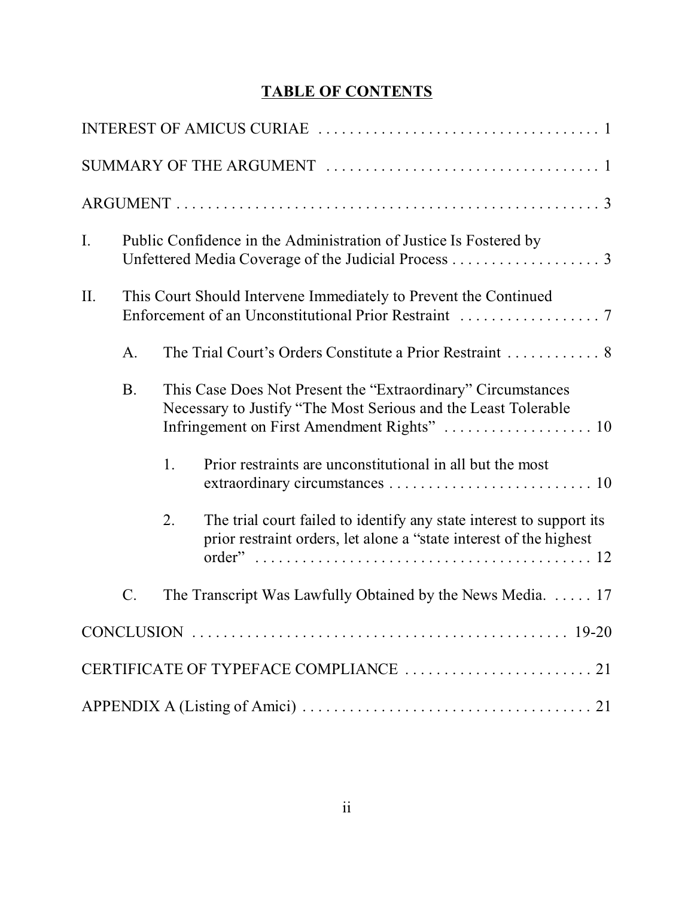# **TABLE OF CONTENTS**

| $I_{\cdot}$ | Public Confidence in the Administration of Justice Is Fostered by |                                                                  |                                                                                                                                             |  |  |  |
|-------------|-------------------------------------------------------------------|------------------------------------------------------------------|---------------------------------------------------------------------------------------------------------------------------------------------|--|--|--|
| II.         |                                                                   | This Court Should Intervene Immediately to Prevent the Continued |                                                                                                                                             |  |  |  |
|             | A.                                                                |                                                                  |                                                                                                                                             |  |  |  |
|             | <b>B.</b>                                                         |                                                                  | This Case Does Not Present the "Extraordinary" Circumstances<br>Necessary to Justify "The Most Serious and the Least Tolerable              |  |  |  |
|             |                                                                   | 1.                                                               | Prior restraints are unconstitutional in all but the most                                                                                   |  |  |  |
|             |                                                                   | 2.                                                               | The trial court failed to identify any state interest to support its<br>prior restraint orders, let alone a "state interest of the highest" |  |  |  |
|             | C.                                                                |                                                                  | The Transcript Was Lawfully Obtained by the News Media. $\dots$ 17                                                                          |  |  |  |
|             |                                                                   |                                                                  |                                                                                                                                             |  |  |  |
|             |                                                                   |                                                                  |                                                                                                                                             |  |  |  |
|             |                                                                   |                                                                  |                                                                                                                                             |  |  |  |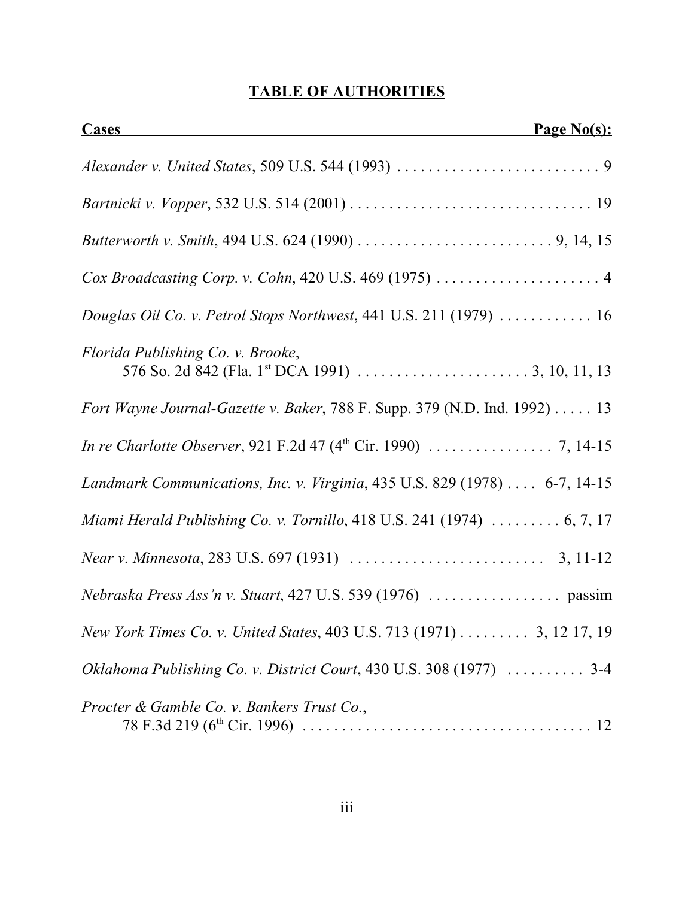# **TABLE OF AUTHORITIES**

| <b>Cases</b>                                                                                                             | Page No(s): |
|--------------------------------------------------------------------------------------------------------------------------|-------------|
|                                                                                                                          |             |
|                                                                                                                          |             |
|                                                                                                                          |             |
| Cox Broadcasting Corp. v. Cohn, 420 U.S. 469 (1975)  4                                                                   |             |
| Douglas Oil Co. v. Petrol Stops Northwest, 441 U.S. 211 (1979)  16                                                       |             |
| Florida Publishing Co. v. Brooke,                                                                                        |             |
| Fort Wayne Journal-Gazette v. Baker, 788 F. Supp. 379 (N.D. Ind. 1992) 13                                                |             |
| <i>In re Charlotte Observer</i> , 921 F.2d 47 ( $4^{\text{th}}$ Cir. 1990) $\ldots \ldots \ldots \ldots \ldots$ 7, 14-15 |             |
| Landmark Communications, Inc. v. Virginia, 435 U.S. 829 (1978) 6-7, 14-15                                                |             |
| Miami Herald Publishing Co. v. Tornillo, 418 U.S. 241 (1974) $\ldots \ldots \ldots 6, 7, 17$                             |             |
|                                                                                                                          |             |
|                                                                                                                          |             |
| New York Times Co. v. United States, 403 U.S. 713 (1971) 3, 12 17, 19                                                    |             |
| Oklahoma Publishing Co. v. District Court, 430 U.S. 308 (1977)  3-4                                                      |             |
| Procter & Gamble Co. v. Bankers Trust Co.,                                                                               |             |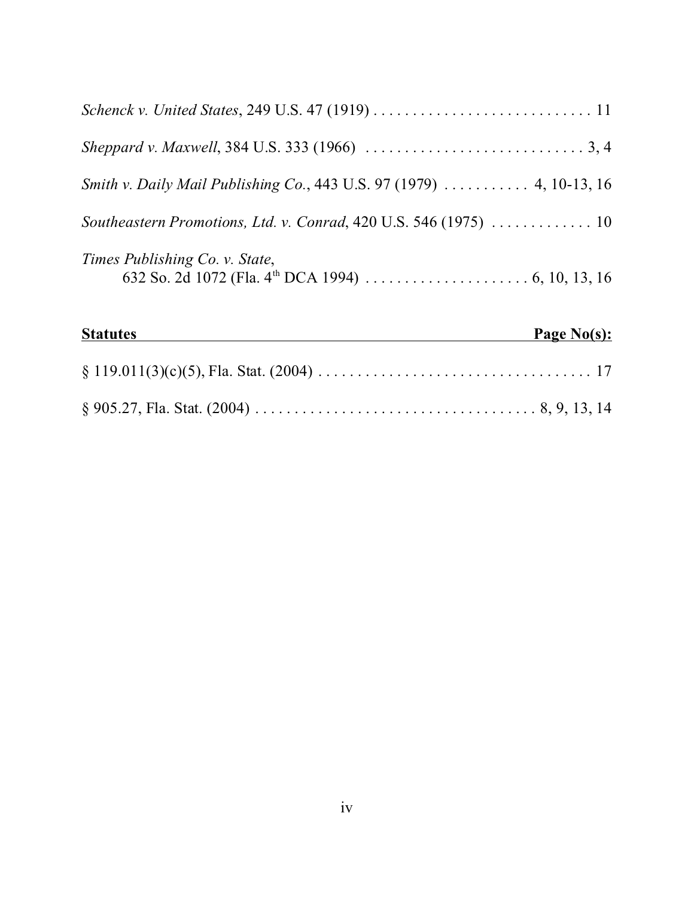| Smith v. Daily Mail Publishing Co., 443 U.S. 97 (1979)  4, 10-13, 16 |  |
|----------------------------------------------------------------------|--|
| Southeastern Promotions, Ltd. v. Conrad, 420 U.S. 546 (1975)  10     |  |
| Times Publishing Co. v. State,                                       |  |
| <b>Statutes</b><br>Page No(s):                                       |  |
|                                                                      |  |
|                                                                      |  |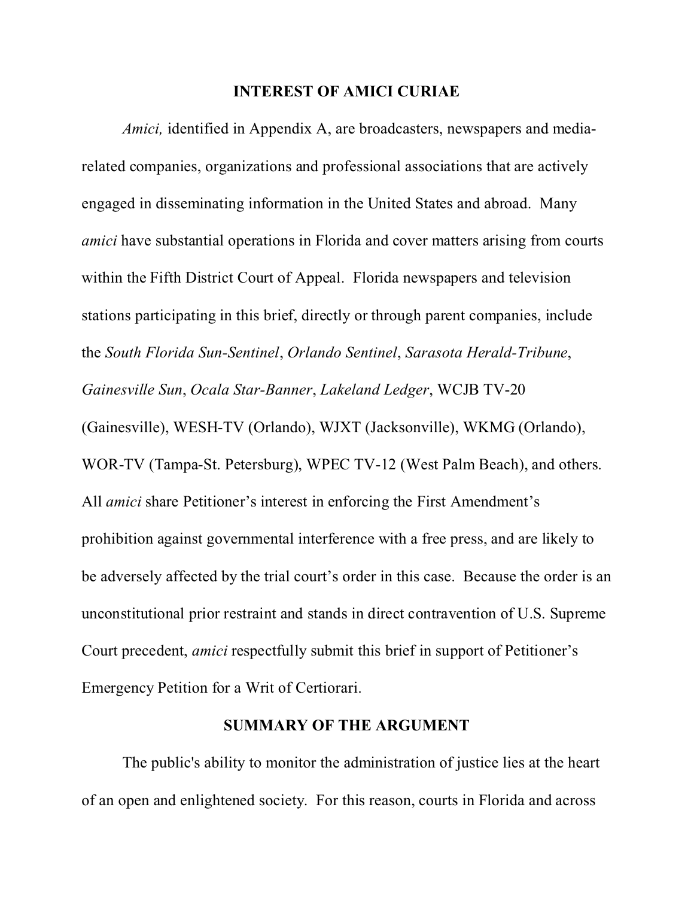#### **INTEREST OF AMICI CURIAE**

*Amici*, identified in Appendix A, are broadcasters, newspapers and mediarelated companies, organizations and professional associations that are actively engaged in disseminating information in the United States and abroad. Many *amici* have substantial operations in Florida and cover matters arising from courts within the Fifth District Court of Appeal. Florida newspapers and television stations participating in this brief, directly or through parent companies, include the *South Florida Sun-Sentinel*, *Orlando Sentinel*, *Sarasota Herald-Tribune*, *Gainesville Sun*, *Ocala Star-Banner*, *Lakeland Ledger*, WCJB TV-20 (Gainesville), WESH-TV (Orlando), WJXT (Jacksonville), WKMG (Orlando), WOR-TV (Tampa-St. Petersburg), WPEC TV-12 (West Palm Beach), and others. All *amici* share Petitioner's interest in enforcing the First Amendment's prohibition against governmental interference with a free press, and are likely to be adversely affected by the trial court's order in this case. Because the order is an unconstitutional prior restraint and stands in direct contravention of U.S. Supreme Court precedent, *amici* respectfully submit this brief in support of Petitioner's Emergency Petition for a Writ of Certiorari.

### **SUMMARY OF THE ARGUMENT**

The public's ability to monitor the administration of justice lies at the heart of an open and enlightened society. For this reason, courts in Florida and across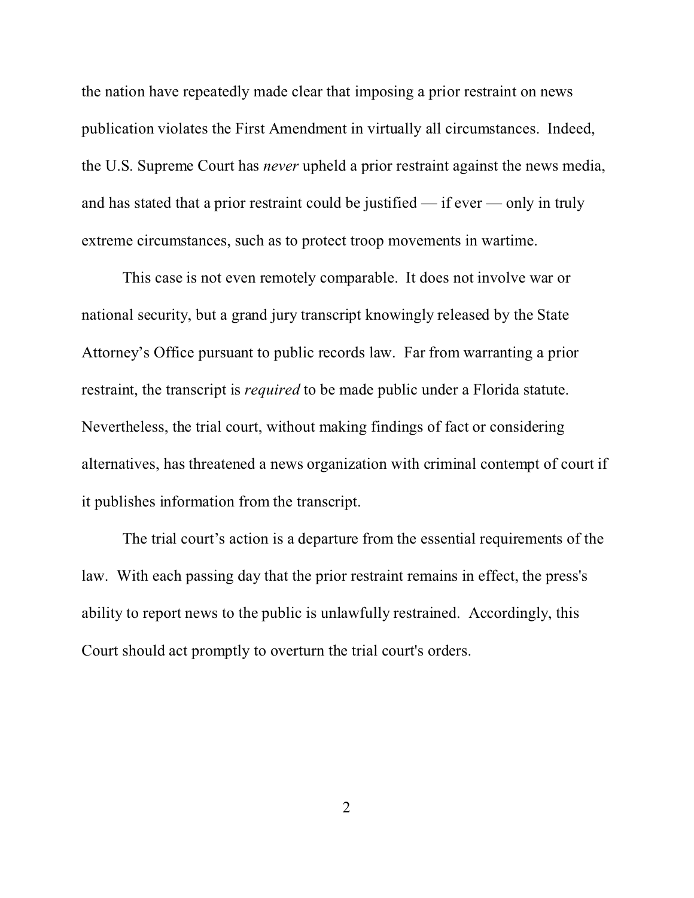the nation have repeatedly made clear that imposing a prior restraint on news publication violates the First Amendment in virtually all circumstances. Indeed, the U.S. Supreme Court has *never* upheld a prior restraint against the news media, and has stated that a prior restraint could be justified — if ever — only in truly extreme circumstances, such as to protect troop movements in wartime.

This case is not even remotely comparable. It does not involve war or national security, but a grand jury transcript knowingly released by the State Attorney's Office pursuant to public records law. Far from warranting a prior restraint, the transcript is *required* to be made public under a Florida statute. Nevertheless, the trial court, without making findings of fact or considering alternatives, has threatened a news organization with criminal contempt of court if it publishes information from the transcript.

The trial court's action is a departure from the essential requirements of the law. With each passing day that the prior restraint remains in effect, the press's ability to report news to the public is unlawfully restrained. Accordingly, this Court should act promptly to overturn the trial court's orders.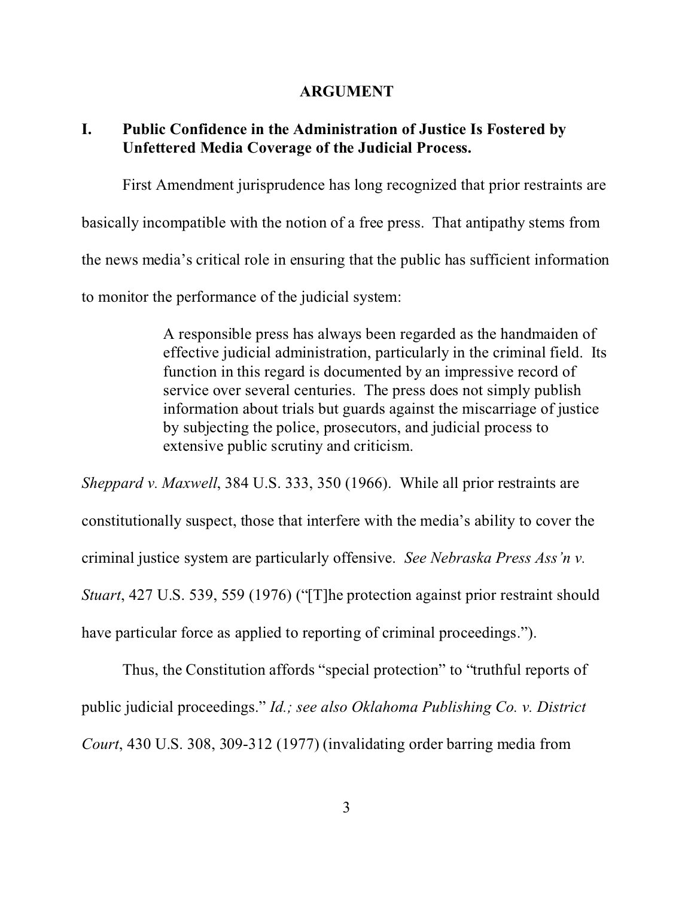#### **ARGUMENT**

## **I. Public Confidence in the Administration of Justice Is Fostered by Unfettered Media Coverage of the Judicial Process.**

First Amendment jurisprudence has long recognized that prior restraints are basically incompatible with the notion of a free press. That antipathy stems from the news media's critical role in ensuring that the public has sufficient information to monitor the performance of the judicial system:

> A responsible press has always been regarded as the handmaiden of effective judicial administration, particularly in the criminal field. Its function in this regard is documented by an impressive record of service over several centuries. The press does not simply publish information about trials but guards against the miscarriage of justice by subjecting the police, prosecutors, and judicial process to extensive public scrutiny and criticism.

*Sheppard v. Maxwell*, 384 U.S. 333, 350 (1966). While all prior restraints are constitutionally suspect, those that interfere with the media's ability to cover the criminal justice system are particularly offensive. *See Nebraska Press Ass'n v. Stuart*, 427 U.S. 539, 559 (1976) ("[T]he protection against prior restraint should have particular force as applied to reporting of criminal proceedings.").

Thus, the Constitution affords "special protection" to "truthful reports of public judicial proceedings." *Id.; see also Oklahoma Publishing Co. v. District Court*, 430 U.S. 308, 309-312 (1977) (invalidating order barring media from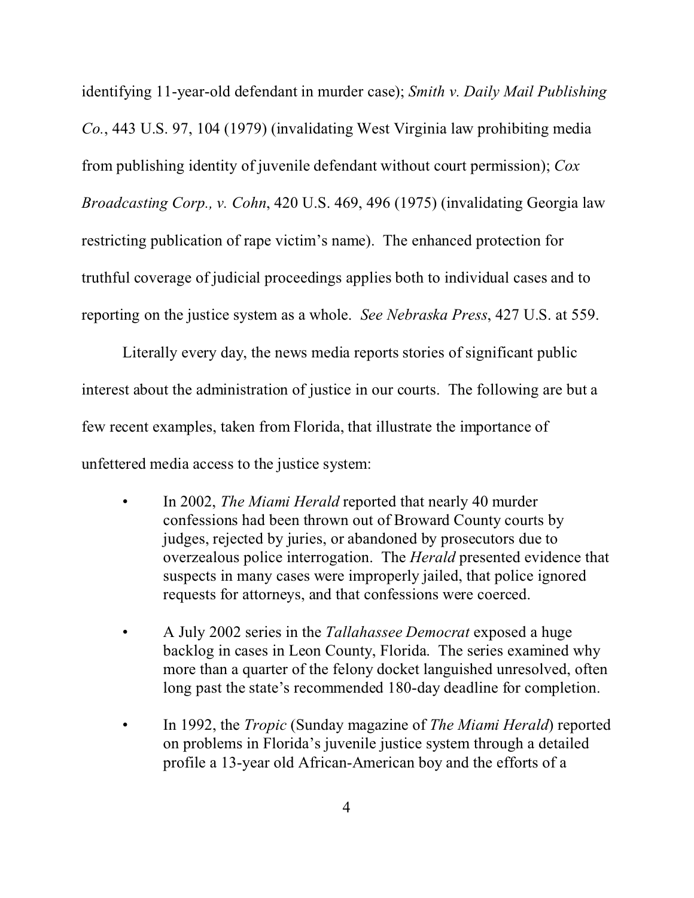identifying 11-year-old defendant in murder case); *Smith v. Daily Mail Publishing Co.*, 443 U.S. 97, 104 (1979) (invalidating West Virginia law prohibiting media from publishing identity of juvenile defendant without court permission); *Cox Broadcasting Corp., v. Cohn*, 420 U.S. 469, 496 (1975) (invalidating Georgia law restricting publication of rape victim's name). The enhanced protection for truthful coverage of judicial proceedings applies both to individual cases and to reporting on the justice system as a whole. *See Nebraska Press*, 427 U.S. at 559.

Literally every day, the news media reports stories of significant public interest about the administration of justice in our courts. The following are but a few recent examples, taken from Florida, that illustrate the importance of unfettered media access to the justice system:

- In 2002, *The Miami Herald* reported that nearly 40 murder confessions had been thrown out of Broward County courts by judges, rejected by juries, or abandoned by prosecutors due to overzealous police interrogation. The *Herald* presented evidence that suspects in many cases were improperly jailed, that police ignored requests for attorneys, and that confessions were coerced.
- A July 2002 series in the *Tallahassee Democrat* exposed a huge backlog in cases in Leon County, Florida. The series examined why more than a quarter of the felony docket languished unresolved, often long past the state's recommended 180-day deadline for completion.
- In 1992, the *Tropic* (Sunday magazine of *The Miami Herald*) reported on problems in Florida's juvenile justice system through a detailed profile a 13-year old African-American boy and the efforts of a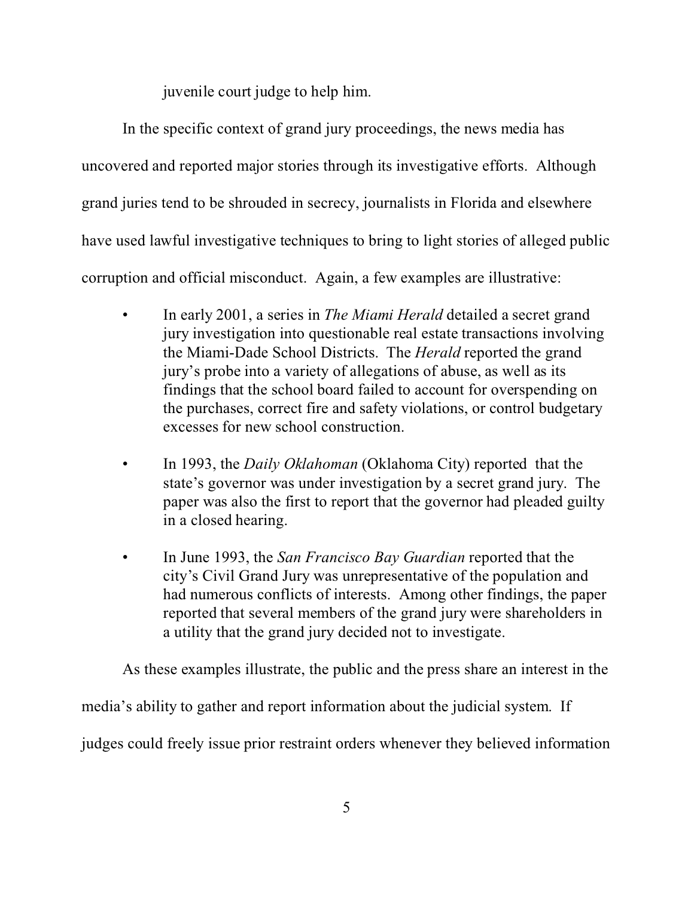juvenile court judge to help him.

In the specific context of grand jury proceedings, the news media has uncovered and reported major stories through its investigative efforts. Although grand juries tend to be shrouded in secrecy, journalists in Florida and elsewhere have used lawful investigative techniques to bring to light stories of alleged public corruption and official misconduct. Again, a few examples are illustrative:

- In early 2001, a series in *The Miami Herald* detailed a secret grand jury investigation into questionable real estate transactions involving the Miami-Dade School Districts. The *Herald* reported the grand jury's probe into a variety of allegations of abuse, as well as its findings that the school board failed to account for overspending on the purchases, correct fire and safety violations, or control budgetary excesses for new school construction.
- In 1993, the *Daily Oklahoman* (Oklahoma City) reported that the state's governor was under investigation by a secret grand jury. The paper was also the first to report that the governor had pleaded guilty in a closed hearing.
- In June 1993, the *San Francisco Bay Guardian* reported that the city's Civil Grand Jury was unrepresentative of the population and had numerous conflicts of interests. Among other findings, the paper reported that several members of the grand jury were shareholders in a utility that the grand jury decided not to investigate.

As these examples illustrate, the public and the press share an interest in the media's ability to gather and report information about the judicial system. If

judges could freely issue prior restraint orders whenever they believed information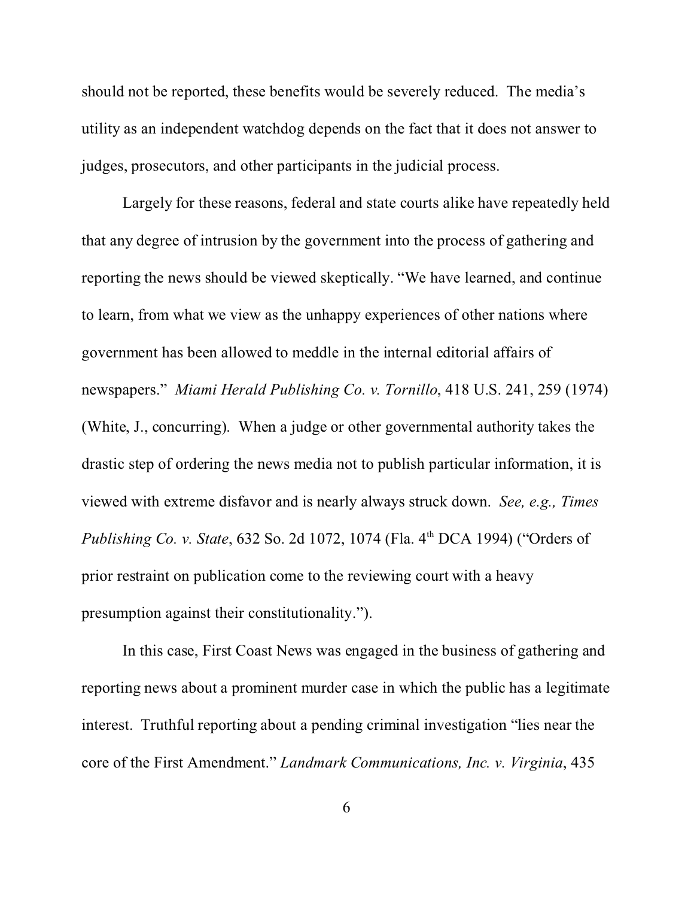should not be reported, these benefits would be severely reduced. The media's utility as an independent watchdog depends on the fact that it does not answer to judges, prosecutors, and other participants in the judicial process.

Largely for these reasons, federal and state courts alike have repeatedly held that any degree of intrusion by the government into the process of gathering and reporting the news should be viewed skeptically. "We have learned, and continue to learn, from what we view as the unhappy experiences of other nations where government has been allowed to meddle in the internal editorial affairs of newspapers." *Miami Herald Publishing Co. v. Tornillo*, 418 U.S. 241, 259 (1974) (White, J., concurring). When a judge or other governmental authority takes the drastic step of ordering the news media not to publish particular information, it is viewed with extreme disfavor and is nearly always struck down. *See, e.g., Times Publishing Co. v. State, 632 So. 2d 1072, 1074 (Fla. 4th DCA 1994) ("Orders of* prior restraint on publication come to the reviewing court with a heavy presumption against their constitutionality.").

In this case, First Coast News was engaged in the business of gathering and reporting news about a prominent murder case in which the public has a legitimate interest. Truthful reporting about a pending criminal investigation "lies near the core of the First Amendment." *Landmark Communications, Inc. v. Virginia*, 435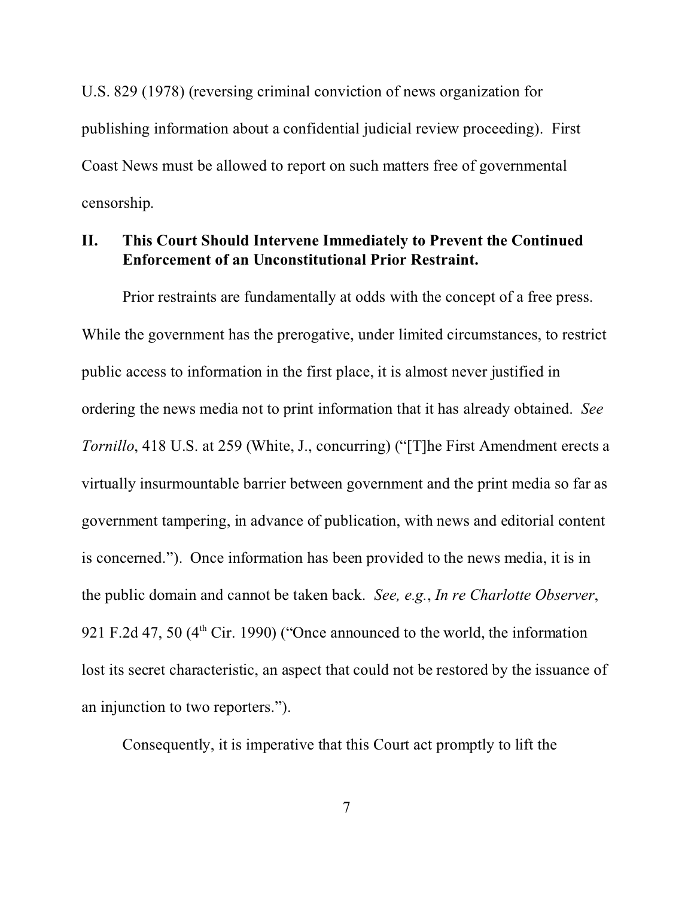U.S. 829 (1978) (reversing criminal conviction of news organization for publishing information about a confidential judicial review proceeding). First Coast News must be allowed to report on such matters free of governmental censorship.

## **II. This Court Should Intervene Immediately to Prevent the Continued Enforcement of an Unconstitutional Prior Restraint.**

Prior restraints are fundamentally at odds with the concept of a free press. While the government has the prerogative, under limited circumstances, to restrict public access to information in the first place, it is almost never justified in ordering the news media not to print information that it has already obtained. *See Tornillo*, 418 U.S. at 259 (White, J., concurring) ("[T]he First Amendment erects a virtually insurmountable barrier between government and the print media so far as government tampering, in advance of publication, with news and editorial content is concerned."). Once information has been provided to the news media, it is in the public domain and cannot be taken back. *See, e.g.*, *In re Charlotte Observer*, 921 F.2d 47, 50 ( $4<sup>th</sup>$  Cir. 1990) ("Once announced to the world, the information lost its secret characteristic, an aspect that could not be restored by the issuance of an injunction to two reporters.").

Consequently, it is imperative that this Court act promptly to lift the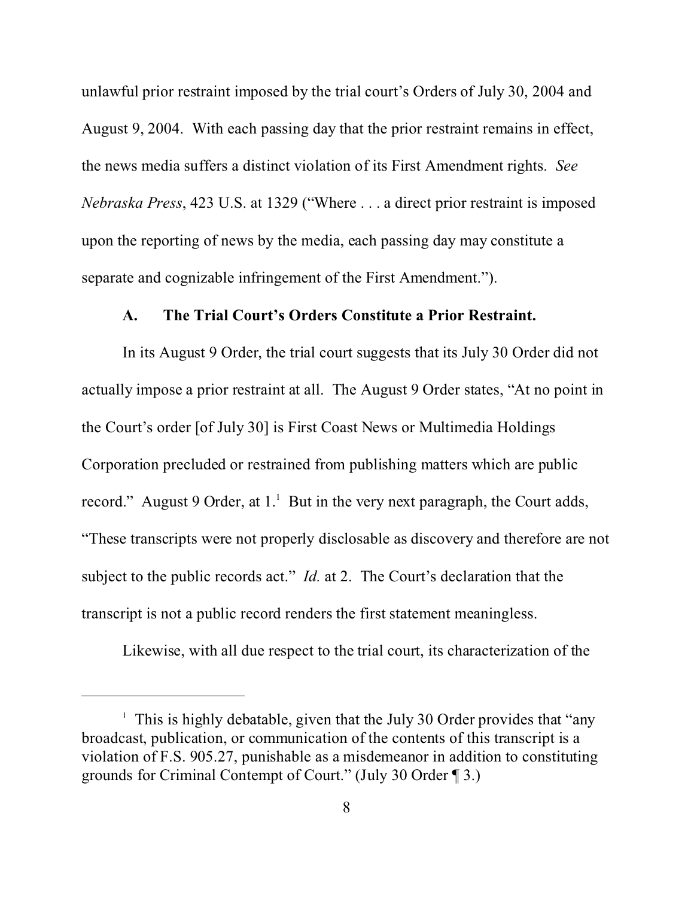unlawful prior restraint imposed by the trial court's Orders of July 30, 2004 and August 9, 2004. With each passing day that the prior restraint remains in effect, the news media suffers a distinct violation of its First Amendment rights. *See Nebraska Press*, 423 U.S. at 1329 ("Where . . . a direct prior restraint is imposed upon the reporting of news by the media, each passing day may constitute a separate and cognizable infringement of the First Amendment.").

#### **A. The Trial Court's Orders Constitute a Prior Restraint.**

In its August 9 Order, the trial court suggests that its July 30 Order did not actually impose a prior restraint at all. The August 9 Order states, "At no point in the Court's order [of July 30] is First Coast News or Multimedia Holdings Corporation precluded or restrained from publishing matters which are public record." August 9 Order, at  $1<sup>1</sup>$  But in the very next paragraph, the Court adds, "These transcripts were not properly disclosable as discovery and therefore are not subject to the public records act." *Id.* at 2. The Court's declaration that the transcript is not a public record renders the first statement meaningless.

Likewise, with all due respect to the trial court, its characterization of the

<sup>1</sup> This is highly debatable, given that the July 30 Order provides that "any broadcast, publication, or communication of the contents of this transcript is a violation of F.S. 905.27, punishable as a misdemeanor in addition to constituting grounds for Criminal Contempt of Court." (July 30 Order ¶ 3.)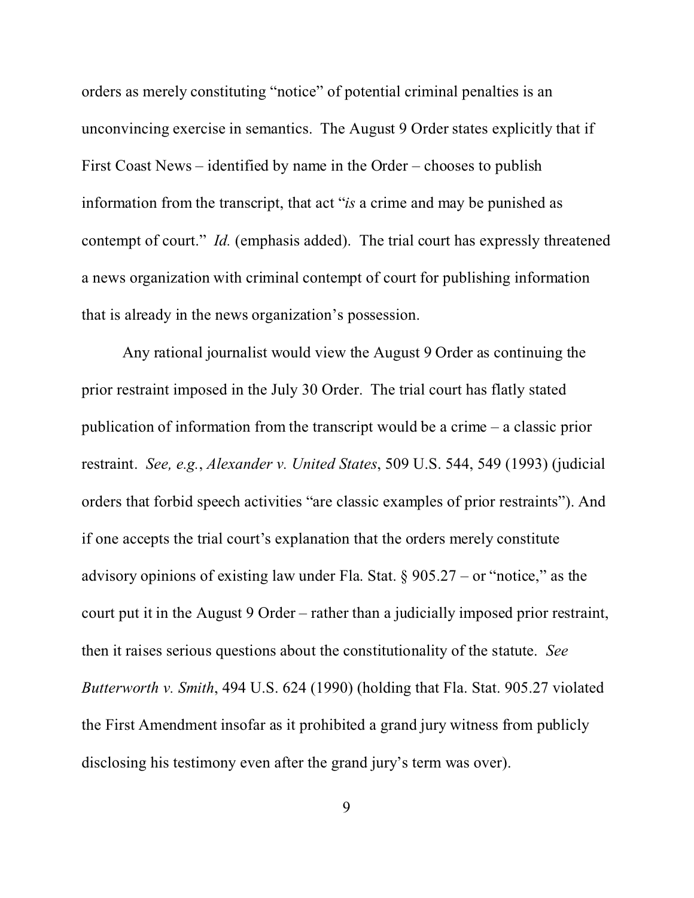orders as merely constituting "notice" of potential criminal penalties is an unconvincing exercise in semantics. The August 9 Order states explicitly that if First Coast News – identified by name in the Order – chooses to publish information from the transcript, that act "*is* a crime and may be punished as contempt of court." *Id.* (emphasis added). The trial court has expressly threatened a news organization with criminal contempt of court for publishing information that is already in the news organization's possession.

Any rational journalist would view the August 9 Order as continuing the prior restraint imposed in the July 30 Order. The trial court has flatly stated publication of information from the transcript would be a crime – a classic prior restraint. *See, e.g.*, *Alexander v. United States*, 509 U.S. 544, 549 (1993) (judicial orders that forbid speech activities "are classic examples of prior restraints"). And if one accepts the trial court's explanation that the orders merely constitute advisory opinions of existing law under Fla. Stat.  $\S 905.27 -$  or "notice," as the court put it in the August 9 Order – rather than a judicially imposed prior restraint, then it raises serious questions about the constitutionality of the statute. *See Butterworth v. Smith*, 494 U.S. 624 (1990) (holding that Fla. Stat. 905.27 violated the First Amendment insofar as it prohibited a grand jury witness from publicly disclosing his testimony even after the grand jury's term was over).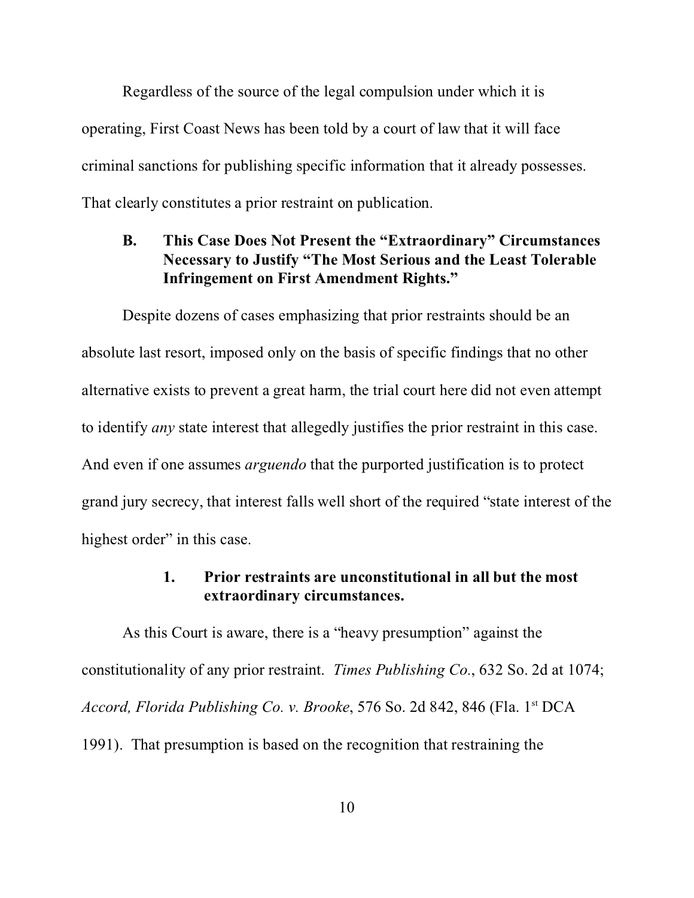Regardless of the source of the legal compulsion under which it is operating, First Coast News has been told by a court of law that it will face criminal sanctions for publishing specific information that it already possesses. That clearly constitutes a prior restraint on publication.

### **B. This Case Does Not Present the "Extraordinary" Circumstances Necessary to Justify "The Most Serious and the Least Tolerable Infringement on First Amendment Rights."**

Despite dozens of cases emphasizing that prior restraints should be an absolute last resort, imposed only on the basis of specific findings that no other alternative exists to prevent a great harm, the trial court here did not even attempt to identify *any* state interest that allegedly justifies the prior restraint in this case. And even if one assumes *arguendo* that the purported justification is to protect grand jury secrecy, that interest falls well short of the required "state interest of the highest order" in this case.

### **1. Prior restraints are unconstitutional in all but the most extraordinary circumstances.**

As this Court is aware, there is a "heavy presumption" against the constitutionality of any prior restraint. *Times Publishing Co.*, 632 So. 2d at 1074; *Accord, Florida Publishing Co. v. Brooke*, 576 So. 2d 842, 846 (Fla. 1st DCA 1991). That presumption is based on the recognition that restraining the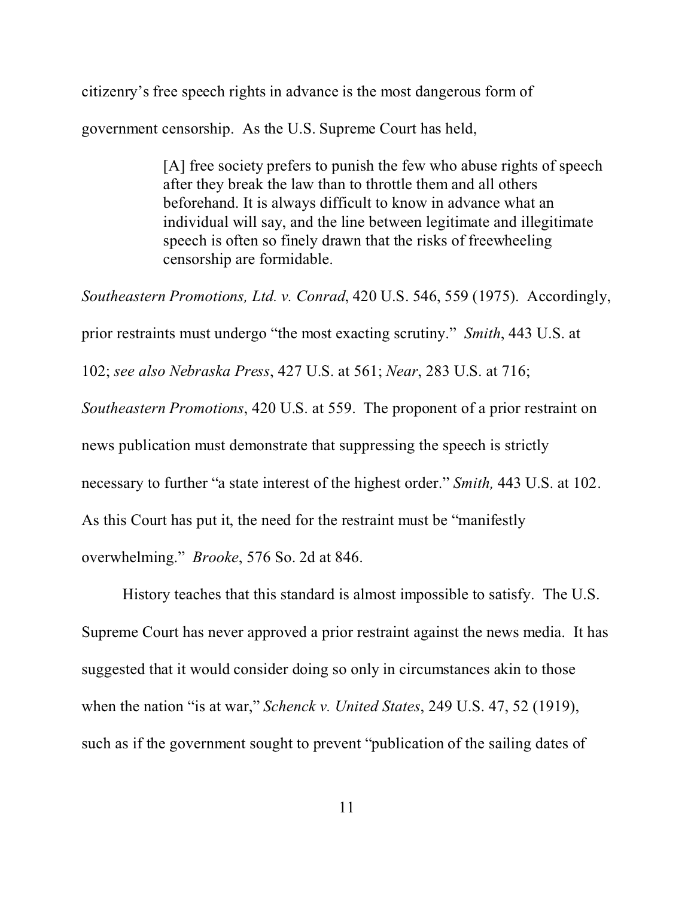citizenry's free speech rights in advance is the most dangerous form of government censorship. As the U.S. Supreme Court has held,

> [A] free society prefers to punish the few who abuse rights of speech after they break the law than to throttle them and all others beforehand. It is always difficult to know in advance what an individual will say, and the line between legitimate and illegitimate speech is often so finely drawn that the risks of freewheeling censorship are formidable.

*Southeastern Promotions, Ltd. v. Conrad*, 420 U.S. 546, 559 (1975). Accordingly, prior restraints must undergo "the most exacting scrutiny." *Smith*, 443 U.S. at 102; *see also Nebraska Press*, 427 U.S. at 561; *Near*, 283 U.S. at 716; *Southeastern Promotions*, 420 U.S. at 559. The proponent of a prior restraint on news publication must demonstrate that suppressing the speech is strictly necessary to further "a state interest of the highest order." *Smith,* 443 U.S. at 102. As this Court has put it, the need for the restraint must be "manifestly overwhelming." *Brooke*, 576 So. 2d at 846.

History teaches that this standard is almost impossible to satisfy. The U.S. Supreme Court has never approved a prior restraint against the news media. It has suggested that it would consider doing so only in circumstances akin to those when the nation "is at war," *Schenck v. United States*, 249 U.S. 47, 52 (1919), such as if the government sought to prevent "publication of the sailing dates of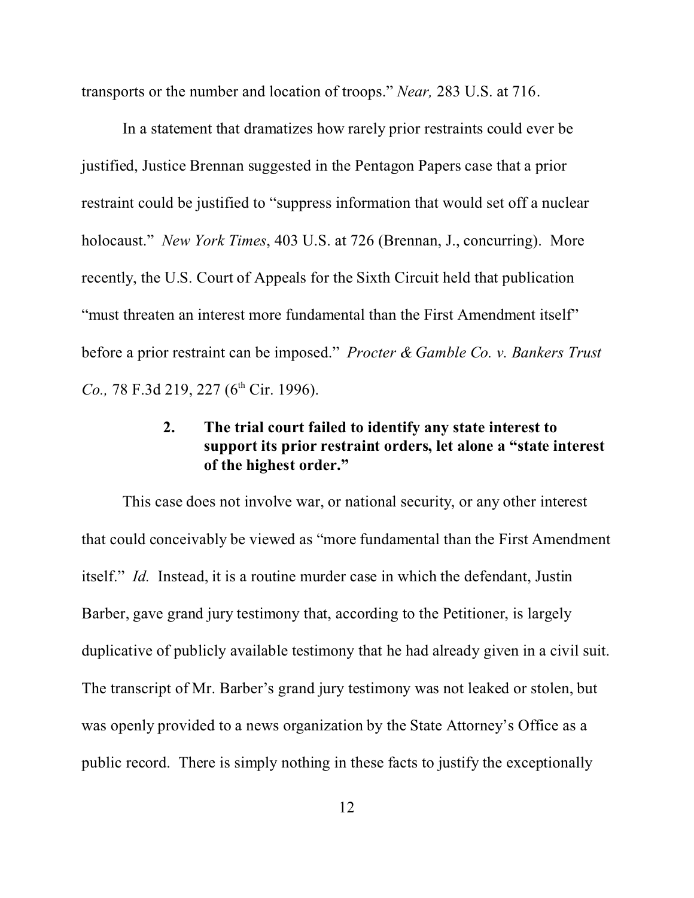transports or the number and location of troops." *Near,* 283 U.S. at 716.

In a statement that dramatizes how rarely prior restraints could ever be justified, Justice Brennan suggested in the Pentagon Papers case that a prior restraint could be justified to "suppress information that would set off a nuclear holocaust." *New York Times*, 403 U.S. at 726 (Brennan, J., concurring). More recently, the U.S. Court of Appeals for the Sixth Circuit held that publication "must threaten an interest more fundamental than the First Amendment itself" before a prior restraint can be imposed." *Procter & Gamble Co. v. Bankers Trust Co.,* 78 F.3d 219, 227 (6<sup>th</sup> Cir. 1996).

## **2. The trial court failed to identify any state interest to support its prior restraint orders, let alone a "state interest of the highest order."**

This case does not involve war, or national security, or any other interest that could conceivably be viewed as "more fundamental than the First Amendment itself." *Id.* Instead, it is a routine murder case in which the defendant, Justin Barber, gave grand jury testimony that, according to the Petitioner, is largely duplicative of publicly available testimony that he had already given in a civil suit. The transcript of Mr. Barber's grand jury testimony was not leaked or stolen, but was openly provided to a news organization by the State Attorney's Office as a public record. There is simply nothing in these facts to justify the exceptionally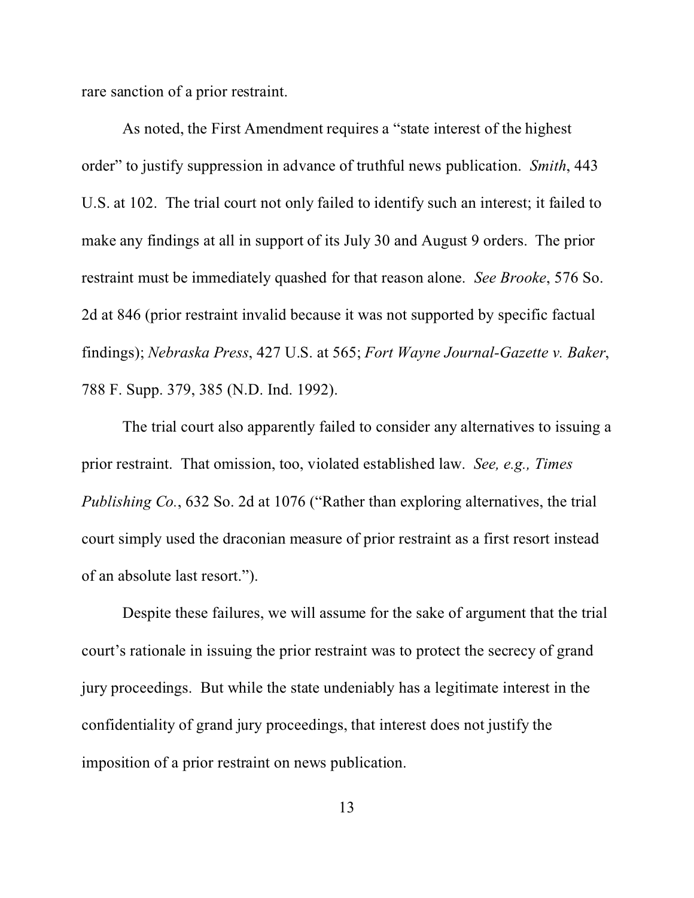rare sanction of a prior restraint.

As noted, the First Amendment requires a "state interest of the highest order" to justify suppression in advance of truthful news publication. *Smith*, 443 U.S. at 102. The trial court not only failed to identify such an interest; it failed to make any findings at all in support of its July 30 and August 9 orders. The prior restraint must be immediately quashed for that reason alone. *See Brooke*, 576 So. 2d at 846 (prior restraint invalid because it was not supported by specific factual findings); *Nebraska Press*, 427 U.S. at 565; *Fort Wayne Journal-Gazette v. Baker*, 788 F. Supp. 379, 385 (N.D. Ind. 1992).

The trial court also apparently failed to consider any alternatives to issuing a prior restraint. That omission, too, violated established law. *See, e.g., Times Publishing Co.*, 632 So. 2d at 1076 ("Rather than exploring alternatives, the trial court simply used the draconian measure of prior restraint as a first resort instead of an absolute last resort.").

Despite these failures, we will assume for the sake of argument that the trial court's rationale in issuing the prior restraint was to protect the secrecy of grand jury proceedings. But while the state undeniably has a legitimate interest in the confidentiality of grand jury proceedings, that interest does not justify the imposition of a prior restraint on news publication.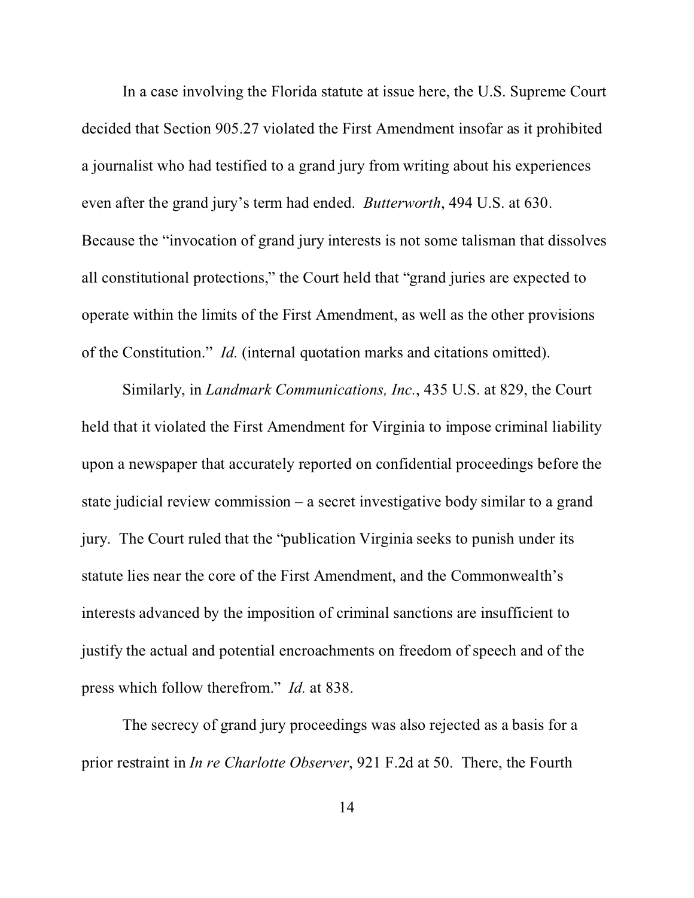In a case involving the Florida statute at issue here, the U.S. Supreme Court decided that Section 905.27 violated the First Amendment insofar as it prohibited a journalist who had testified to a grand jury from writing about his experiences even after the grand jury's term had ended. *Butterworth*, 494 U.S. at 630. Because the "invocation of grand jury interests is not some talisman that dissolves all constitutional protections," the Court held that "grand juries are expected to operate within the limits of the First Amendment, as well as the other provisions of the Constitution." *Id.* (internal quotation marks and citations omitted).

Similarly, in *Landmark Communications, Inc.*, 435 U.S. at 829, the Court held that it violated the First Amendment for Virginia to impose criminal liability upon a newspaper that accurately reported on confidential proceedings before the state judicial review commission – a secret investigative body similar to a grand jury. The Court ruled that the "publication Virginia seeks to punish under its statute lies near the core of the First Amendment, and the Commonwealth's interests advanced by the imposition of criminal sanctions are insufficient to justify the actual and potential encroachments on freedom of speech and of the press which follow therefrom." *Id.* at 838.

The secrecy of grand jury proceedings was also rejected as a basis for a prior restraint in *In re Charlotte Observer*, 921 F.2d at 50. There, the Fourth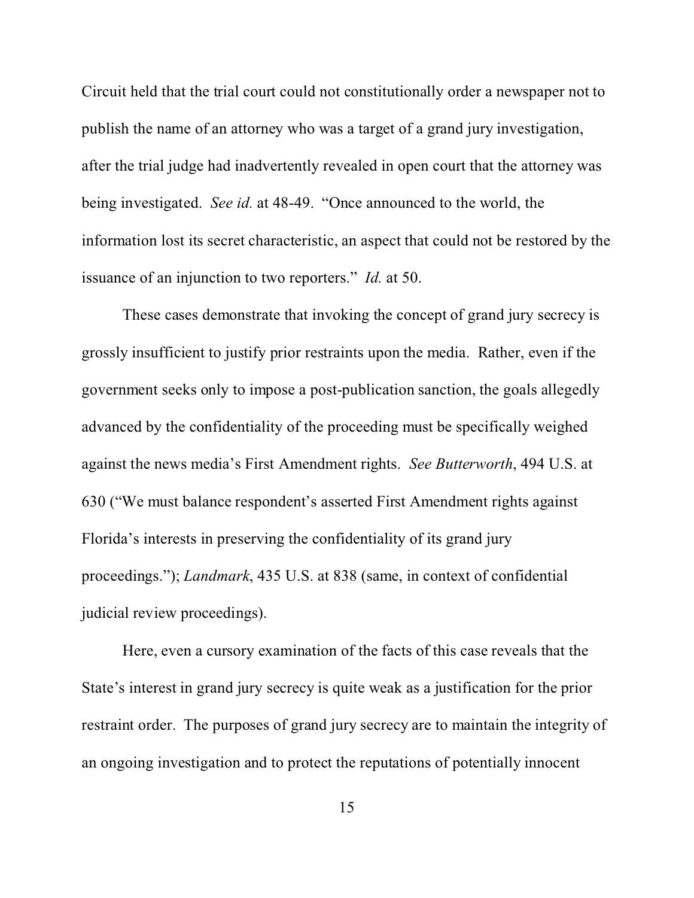Circuit held that the trial court could not constitutionally order a newspaper not to publish the name of an attorney who was a target of a grand jury investigation, after the trial judge had inadvertently revealed in open court that the attorney was being investigated. *See id.* at 48-49. "Once announced to the world, the information lost its secret characteristic, an aspect that could not be restored by the issuance of an injunction to two reporters." *Id.* at 50.

These cases demonstrate that invoking the concept of grand jury secrecy is grossly insufficient to justify prior restraints upon the media. Rather, even if the government seeks only to impose a post-publication sanction, the goals allegedly advanced by the confidentiality of the proceeding must be specifically weighed against the news media's First Amendment rights. *See Butterworth*, 494 U.S. at 630 ("We must balance respondent's asserted First Amendment rights against Florida's interests in preserving the confidentiality of its grand jury proceedings."); *Landmark*, 435 U.S. at 838 (same, in context of confidential judicial review proceedings).

Here, even a cursory examination of the facts of this case reveals that the State's interest in grand jury secrecy is quite weak as a justification for the prior restraint order. The purposes of grand jury secrecy are to maintain the integrity of an ongoing investigation and to protect the reputations of potentially innocent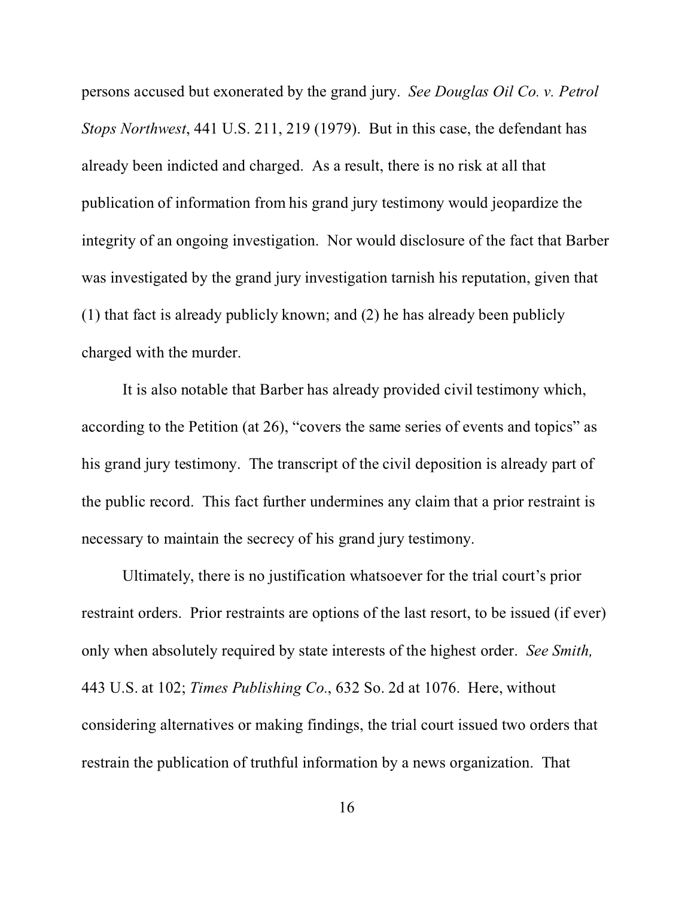persons accused but exonerated by the grand jury. *See Douglas Oil Co. v. Petrol Stops Northwest*, 441 U.S. 211, 219 (1979). But in this case, the defendant has already been indicted and charged. As a result, there is no risk at all that publication of information from his grand jury testimony would jeopardize the integrity of an ongoing investigation. Nor would disclosure of the fact that Barber was investigated by the grand jury investigation tarnish his reputation, given that (1) that fact is already publicly known; and (2) he has already been publicly charged with the murder.

It is also notable that Barber has already provided civil testimony which, according to the Petition (at 26), "covers the same series of events and topics" as his grand jury testimony. The transcript of the civil deposition is already part of the public record. This fact further undermines any claim that a prior restraint is necessary to maintain the secrecy of his grand jury testimony.

Ultimately, there is no justification whatsoever for the trial court's prior restraint orders. Prior restraints are options of the last resort, to be issued (if ever) only when absolutely required by state interests of the highest order. *See Smith,* 443 U.S. at 102; *Times Publishing Co.*, 632 So. 2d at 1076. Here, without considering alternatives or making findings, the trial court issued two orders that restrain the publication of truthful information by a news organization. That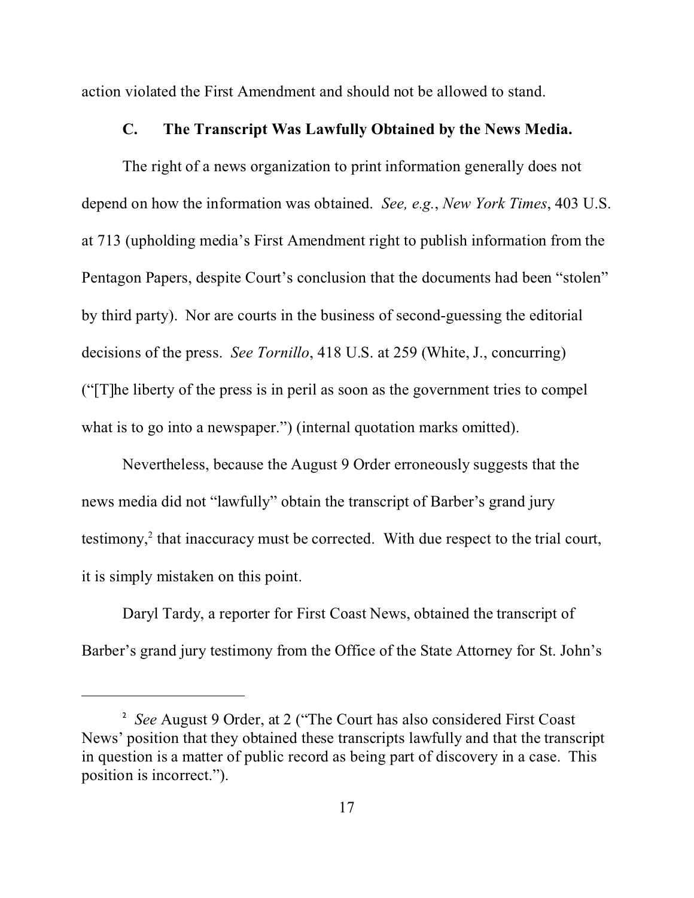action violated the First Amendment and should not be allowed to stand.

### **C. The Transcript Was Lawfully Obtained by the News Media.**

The right of a news organization to print information generally does not depend on how the information was obtained. *See, e.g.*, *New York Times*, 403 U.S. at 713 (upholding media's First Amendment right to publish information from the Pentagon Papers, despite Court's conclusion that the documents had been "stolen" by third party). Nor are courts in the business of second-guessing the editorial decisions of the press. *See Tornillo*, 418 U.S. at 259 (White, J., concurring) ("[T]he liberty of the press is in peril as soon as the government tries to compel what is to go into a newspaper.") (internal quotation marks omitted).

Nevertheless, because the August 9 Order erroneously suggests that the news media did not "lawfully" obtain the transcript of Barber's grand jury testimony,<sup>2</sup> that inaccuracy must be corrected. With due respect to the trial court, it is simply mistaken on this point.

Daryl Tardy, a reporter for First Coast News, obtained the transcript of Barber's grand jury testimony from the Office of the State Attorney for St. John's

<sup>&</sup>lt;sup>2</sup> See August 9 Order, at 2 ("The Court has also considered First Coast News' position that they obtained these transcripts lawfully and that the transcript in question is a matter of public record as being part of discovery in a case. This position is incorrect.").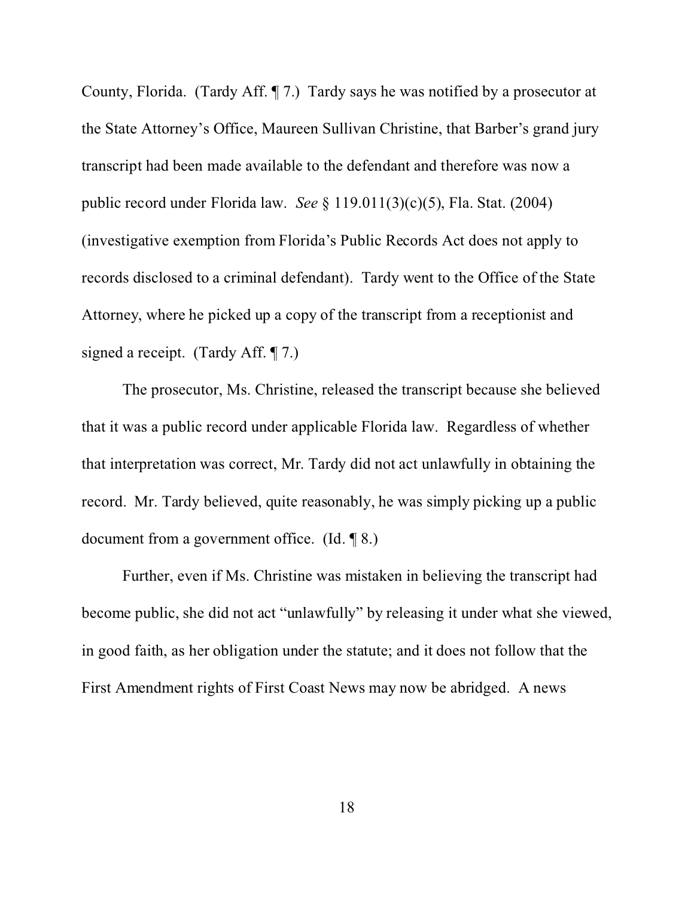County, Florida. (Tardy Aff. ¶ 7.) Tardy says he was notified by a prosecutor at the State Attorney's Office, Maureen Sullivan Christine, that Barber's grand jury transcript had been made available to the defendant and therefore was now a public record under Florida law. *See* § 119.011(3)(c)(5), Fla. Stat. (2004) (investigative exemption from Florida's Public Records Act does not apply to records disclosed to a criminal defendant). Tardy went to the Office of the State Attorney, where he picked up a copy of the transcript from a receptionist and signed a receipt. (Tardy Aff. ¶ 7.)

The prosecutor, Ms. Christine, released the transcript because she believed that it was a public record under applicable Florida law. Regardless of whether that interpretation was correct, Mr. Tardy did not act unlawfully in obtaining the record. Mr. Tardy believed, quite reasonably, he was simply picking up a public document from a government office. (Id. ¶ 8.)

Further, even if Ms. Christine was mistaken in believing the transcript had become public, she did not act "unlawfully" by releasing it under what she viewed, in good faith, as her obligation under the statute; and it does not follow that the First Amendment rights of First Coast News may now be abridged. A news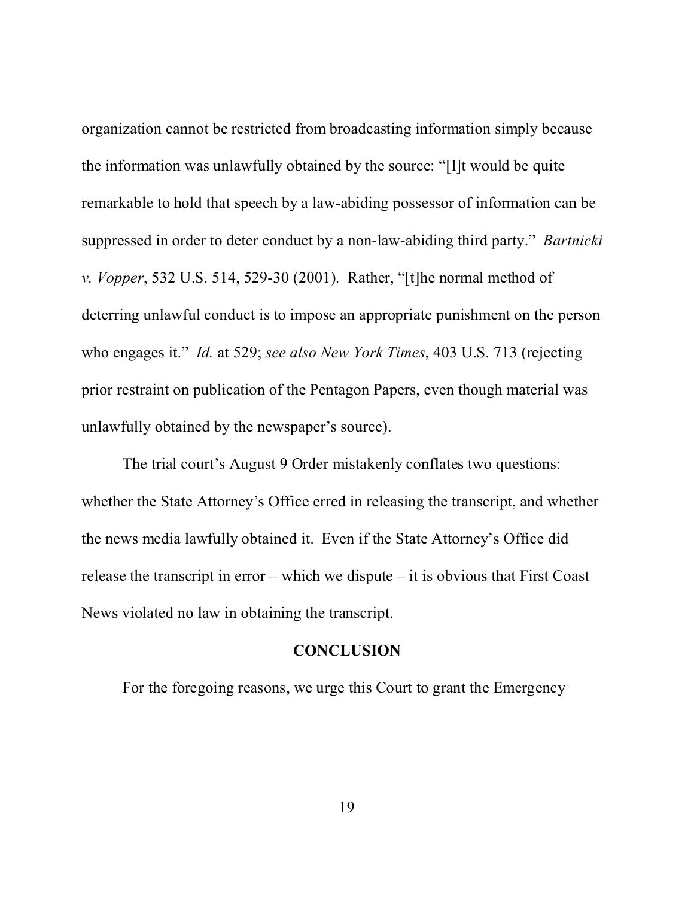organization cannot be restricted from broadcasting information simply because the information was unlawfully obtained by the source: "[I]t would be quite remarkable to hold that speech by a law-abiding possessor of information can be suppressed in order to deter conduct by a non-law-abiding third party." *Bartnicki v. Vopper*, 532 U.S. 514, 529-30 (2001). Rather, "[t]he normal method of deterring unlawful conduct is to impose an appropriate punishment on the person who engages it." *Id.* at 529; *see also New York Times*, 403 U.S. 713 (rejecting prior restraint on publication of the Pentagon Papers, even though material was unlawfully obtained by the newspaper's source).

The trial court's August 9 Order mistakenly conflates two questions: whether the State Attorney's Office erred in releasing the transcript, and whether the news media lawfully obtained it. Even if the State Attorney's Office did release the transcript in error – which we dispute – it is obvious that First Coast News violated no law in obtaining the transcript.

#### **CONCLUSION**

For the foregoing reasons, we urge this Court to grant the Emergency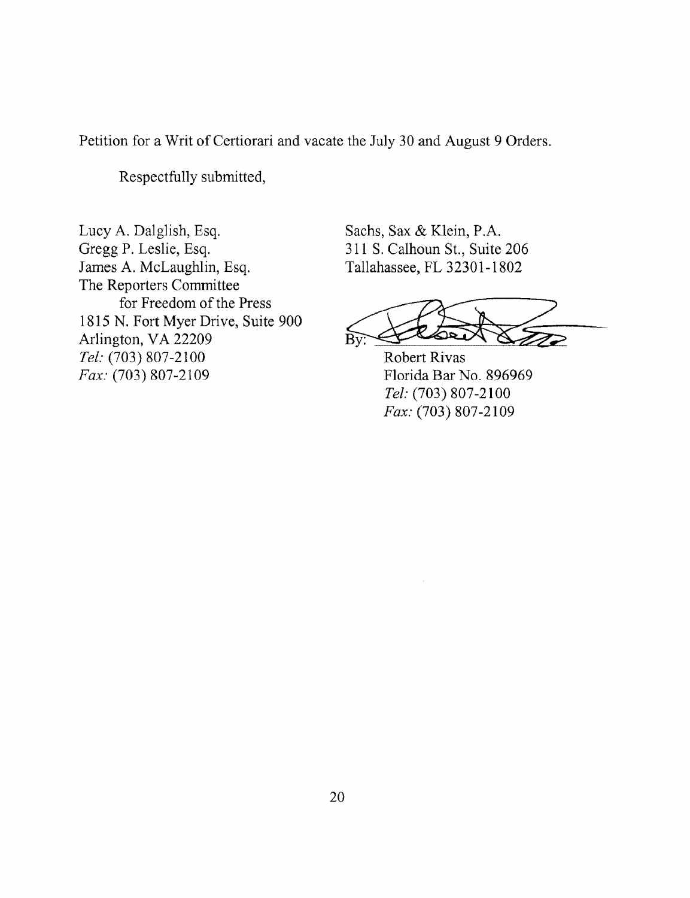Petition for a Writ of Certiorari and vacate the July 30 and August 9 Orders.

Respectfully submitted,

Lucy A. Dalglish, Esq. Gregg P. Leslie, Esq. James A. McLaughlin, Esq. The Reporters Committee for Freedom of the Press 1815 N. Fort Myer Drive, Suite 900 Arlington, VA 22209 Tel: (703) 807-2100 Fax: (703) 807-2109

Sachs, Sax & Klein, P.A. 311 S. Calhoun St., Suite 206 Tallahassee, FL 32301-1802

 $R\bar{v}$ 

**Robert Rivas** Florida Bar No. 896969 Tel: (703) 807-2100 Fax: (703) 807-2109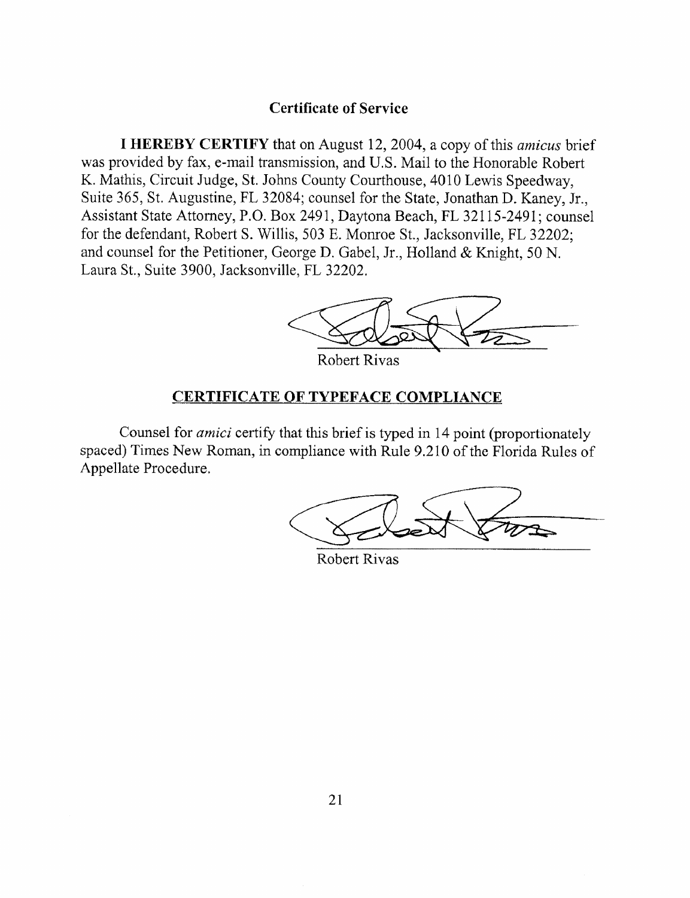### **Certificate of Service**

**I HEREBY CERTIFY** that on August 12, 2004, a copy of this *amicus* brief was provided by fax, e-mail transmission, and U.S. Mail to the Honorable Robert K. Mathis, Circuit Judge, St. Johns County Courthouse, 4010 Lewis Speedway, Suite 365, St. Augustine, FL 32084; counsel for the State, Jonathan D. Kaney, Jr., Assistant State Attorney, P.O. Box 2491, Daytona Beach, FL 32115-2491; counsel for the defendant, Robert S. Willis, 503 E. Monroe St., Jacksonville, FL 32202; and counsel for the Petitioner, George D. Gabel, Jr., Holland & Knight, 50 N. Laura St., Suite 3900, Jacksonville, FL 32202.



**Robert Rivas** 

#### **CERTIFICATE OF TYPEFACE COMPLIANCE**

Counsel for *amici* certify that this brief is typed in 14 point (proportionately spaced) Times New Roman, in compliance with Rule 9.210 of the Florida Rules of Appellate Procedure.

Robert Rivas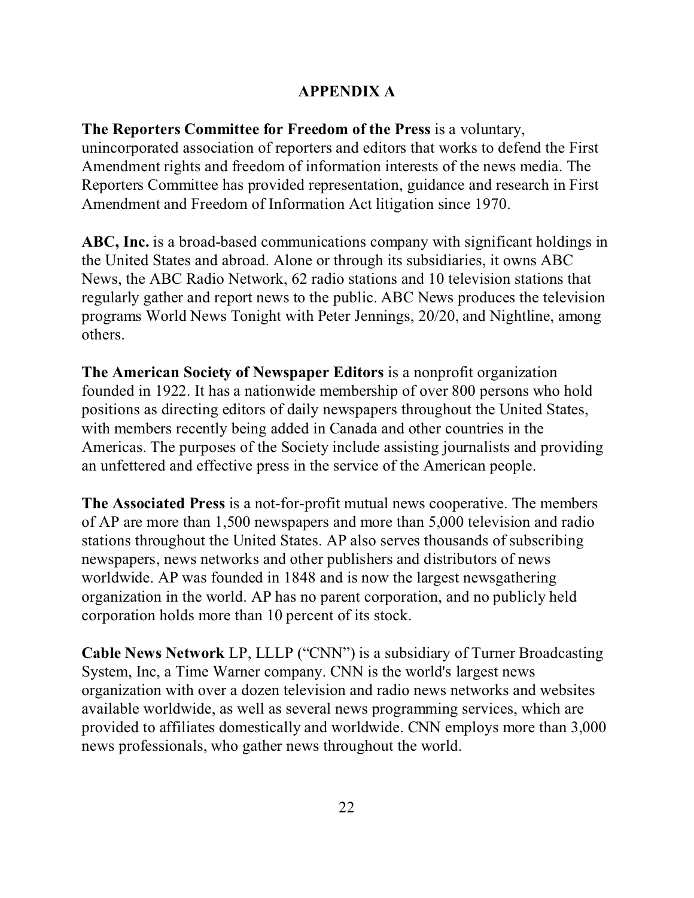## **APPENDIX A**

**The Reporters Committee for Freedom of the Press** is a voluntary, unincorporated association of reporters and editors that works to defend the First Amendment rights and freedom of information interests of the news media. The Reporters Committee has provided representation, guidance and research in First Amendment and Freedom of Information Act litigation since 1970.

**ABC, Inc.** is a broad-based communications company with significant holdings in the United States and abroad. Alone or through its subsidiaries, it owns ABC News, the ABC Radio Network, 62 radio stations and 10 television stations that regularly gather and report news to the public. ABC News produces the television programs World News Tonight with Peter Jennings, 20/20, and Nightline, among others.

**The American Society of Newspaper Editors** is a nonprofit organization founded in 1922. It has a nationwide membership of over 800 persons who hold positions as directing editors of daily newspapers throughout the United States, with members recently being added in Canada and other countries in the Americas. The purposes of the Society include assisting journalists and providing an unfettered and effective press in the service of the American people.

**The Associated Press** is a not-for-profit mutual news cooperative. The members of AP are more than 1,500 newspapers and more than 5,000 television and radio stations throughout the United States. AP also serves thousands of subscribing newspapers, news networks and other publishers and distributors of news worldwide. AP was founded in 1848 and is now the largest newsgathering organization in the world. AP has no parent corporation, and no publicly held corporation holds more than 10 percent of its stock.

**Cable News Network** LP, LLLP ("CNN") is a subsidiary of Turner Broadcasting System, Inc, a Time Warner company. CNN is the world's largest news organization with over a dozen television and radio news networks and websites available worldwide, as well as several news programming services, which are provided to affiliates domestically and worldwide. CNN employs more than 3,000 news professionals, who gather news throughout the world.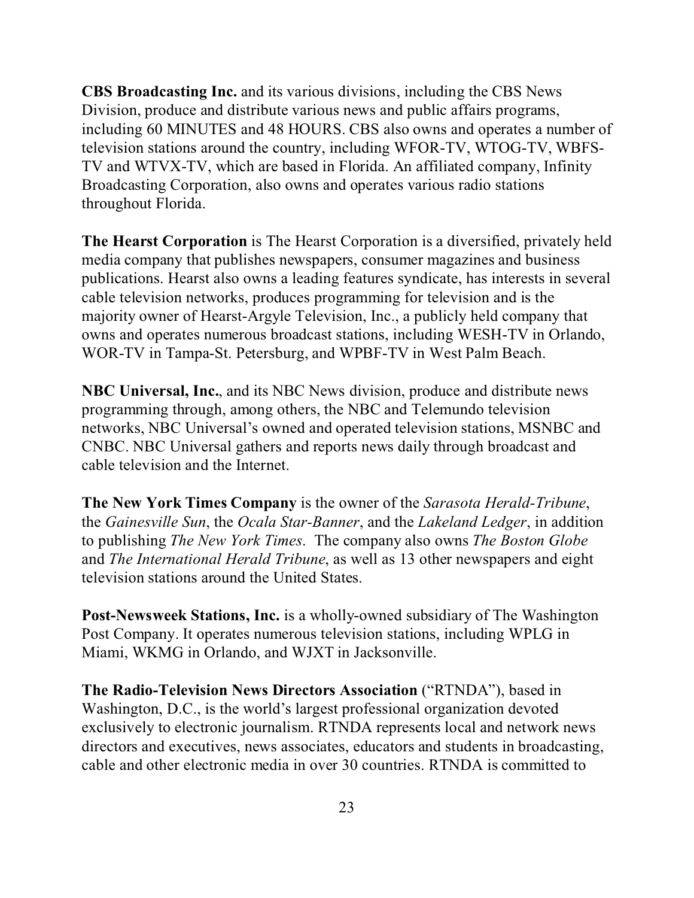**CBS Broadcasting Inc.** and its various divisions, including the CBS News Division, produce and distribute various news and public affairs programs, including 60 MINUTES and 48 HOURS. CBS also owns and operates a number of television stations around the country, including WFOR-TV, WTOG-TV, WBFS-TV and WTVX-TV, which are based in Florida. An affiliated company, Infinity Broadcasting Corporation, also owns and operates various radio stations throughout Florida.

**The Hearst Corporation** is The Hearst Corporation is a diversified, privately held media company that publishes newspapers, consumer magazines and business publications. Hearst also owns a leading features syndicate, has interests in several cable television networks, produces programming for television and is the majority owner of Hearst-Argyle Television, Inc., a publicly held company that owns and operates numerous broadcast stations, including WESH-TV in Orlando, WOR-TV in Tampa-St. Petersburg, and WPBF-TV in West Palm Beach.

**NBC Universal, Inc.**, and its NBC News division, produce and distribute news programming through, among others, the NBC and Telemundo television networks, NBC Universal's owned and operated television stations, MSNBC and CNBC. NBC Universal gathers and reports news daily through broadcast and cable television and the Internet.

**The New York Times Company** is the owner of the *Sarasota Herald-Tribune*, the *Gainesville Sun*, the *Ocala Star-Banner*, and the *Lakeland Ledger*, in addition to publishing *The New York Times*. The company also owns *The Boston Globe* and *The International Herald Tribune*, as well as 13 other newspapers and eight television stations around the United States.

**Post-Newsweek Stations, Inc.** is a wholly-owned subsidiary of The Washington Post Company. It operates numerous television stations, including WPLG in Miami, WKMG in Orlando, and WJXT in Jacksonville.

**The Radio-Television News Directors Association** ("RTNDA"), based in Washington, D.C., is the world's largest professional organization devoted exclusively to electronic journalism. RTNDA represents local and network news directors and executives, news associates, educators and students in broadcasting, cable and other electronic media in over 30 countries. RTNDA is committed to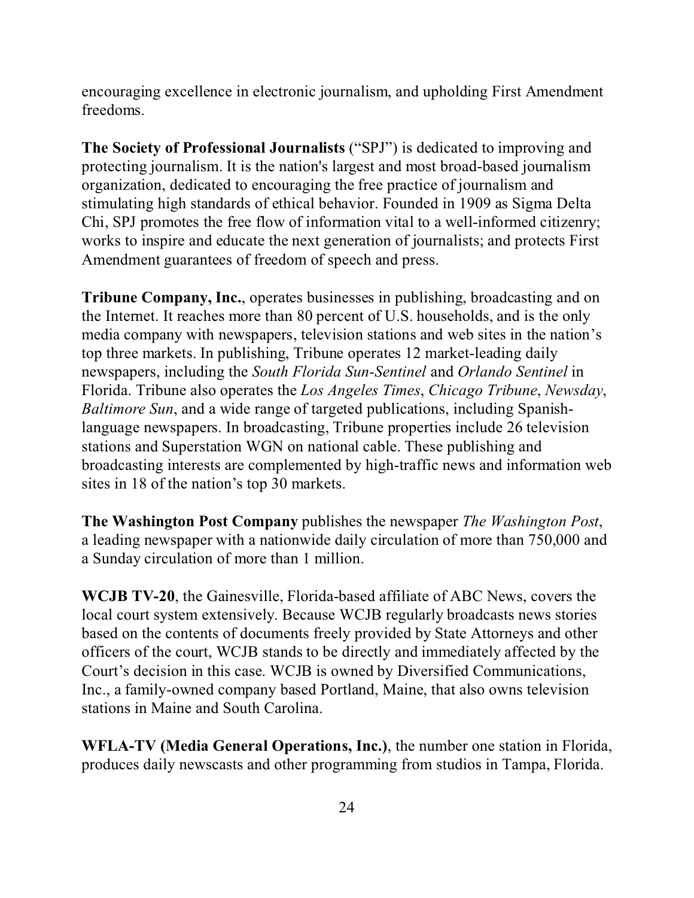encouraging excellence in electronic journalism, and upholding First Amendment freedoms.

**The Society of Professional Journalists** ("SPJ") is dedicated to improving and protecting journalism. It is the nation's largest and most broad-based journalism organization, dedicated to encouraging the free practice of journalism and stimulating high standards of ethical behavior. Founded in 1909 as Sigma Delta Chi, SPJ promotes the free flow of information vital to a well-informed citizenry; works to inspire and educate the next generation of journalists; and protects First Amendment guarantees of freedom of speech and press.

**Tribune Company, Inc.**, operates businesses in publishing, broadcasting and on the Internet. It reaches more than 80 percent of U.S. households, and is the only media company with newspapers, television stations and web sites in the nation's top three markets. In publishing, Tribune operates 12 market-leading daily newspapers, including the *South Florida Sun-Sentinel* and *Orlando Sentinel* in Florida. Tribune also operates the *Los Angeles Times*, *Chicago Tribune*, *Newsday*, *Baltimore Sun*, and a wide range of targeted publications, including Spanishlanguage newspapers. In broadcasting, Tribune properties include 26 television stations and Superstation WGN on national cable. These publishing and broadcasting interests are complemented by high-traffic news and information web sites in 18 of the nation's top 30 markets.

**The Washington Post Company** publishes the newspaper *The Washington Post*, a leading newspaper with a nationwide daily circulation of more than 750,000 and a Sunday circulation of more than 1 million.

**WCJB TV-20**, the Gainesville, Florida-based affiliate of ABC News, covers the local court system extensively. Because WCJB regularly broadcasts news stories based on the contents of documents freely provided by State Attorneys and other officers of the court, WCJB stands to be directly and immediately affected by the Court's decision in this case. WCJB is owned by Diversified Communications, Inc., a family-owned company based Portland, Maine, that also owns television stations in Maine and South Carolina.

**WFLA-TV (Media General Operations, Inc.)**, the number one station in Florida, produces daily newscasts and other programming from studios in Tampa, Florida.